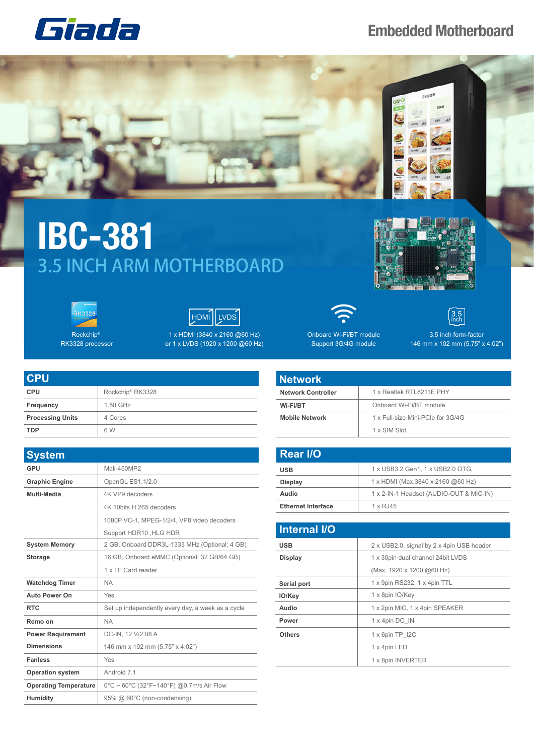## **Embedded Motherboard**





## **IBC-381** 3.5 INCH ARM MOTHERBOARD



Rockchip® RK3328 processor



1 x HDMI (3840 x 2160 @60 Hz) or 1 x LVDS (1920 x 1200 @60 Hz)

| CPU                     |                              |
|-------------------------|------------------------------|
| <b>CPU</b>              | Rockchip <sup>®</sup> RK3328 |
| Frequency               | 1.50 GHz                     |
| <b>Processing Units</b> | 4 Cores                      |
| <b>TDP</b>              | 6 W                          |

| <b>System</b>                |                                                    |
|------------------------------|----------------------------------------------------|
| <b>GPU</b>                   | Mali-450MP2                                        |
| <b>Graphic Engine</b>        | OpenGL ES1.1/2.0                                   |
| Multi-Media                  | 4K VP9 decoders                                    |
|                              | 4K 10bits H.265 decoders                           |
|                              | 1080P VC-1, MPEG-1/2/4, VP8 video decoders         |
|                              | Support HDR10, HLG HDR                             |
| <b>System Memory</b>         | 2 GB, Onboard DDR3L-1333 MHz (Optional: 4 GB)      |
| <b>Storage</b>               | 16 GB, Onboard eMMC (Optional: 32 GB/64 GB)        |
|                              | 1 x TF Card reader                                 |
| <b>Watchdog Timer</b>        | <b>NA</b>                                          |
| <b>Auto Power On</b>         | Yes                                                |
| <b>RTC</b>                   | Set up independently every day, a week as a cycle  |
| Remo on                      | <b>NA</b>                                          |
| <b>Power Requirement</b>     | DC-IN, 12 V/2.08 A                                 |
| <b>Dimensions</b>            | 146 mm x 102 mm (5.75" x 4.02")                    |
| <b>Fanless</b>               | Yes                                                |
| <b>Operation system</b>      | Android 7.1                                        |
| <b>Operating Temperature</b> | $0^{\circ}$ C ~ 60°C (32°F~140°F) @0.7m/s Air Flow |
| Humidity                     | 95% @ 60°C (non-condensing)                        |



Onboard Wi-Fi/BT module Support 3G/4G module



3.5 inch form-factor 146 mm x 102 mm (5.75" x 4.02")

## **Network Controller** 1 x Realtek RTL8211E PHY **Wi-Fi/BT** Onboard Wi-Fi/BT module **Mobile Network** 1 x Full-size Mini-PCIe for 3G/4G 1 x SIM Slot **Network**

| <b>Rear I/O</b>           |                                         |
|---------------------------|-----------------------------------------|
| <b>USB</b>                | 1 x USB3.2 Gen1, 1 x USB2.0 OTG,        |
| Display                   | 1 x HDMI (Max.3840 x 2160 @60 Hz)       |
| Audio                     | 1 x 2-IN-1 Headset (AUDIO-OUT & MIC-IN) |
| <b>Ethernet Interface</b> | $1 \times R$ . 145                      |

| <b>Internal I/O</b> |                                           |
|---------------------|-------------------------------------------|
| <b>USB</b>          | 2 x USB2.0, signal by 2 x 4pin USB header |
| <b>Display</b>      | 1 x 30pin dual channel 24bit LVDS         |
|                     | (Max. 1920 x 1200 @60 Hz)                 |
| Serial port         | 1 x 9pin RS232, 1 x 4pin TTL              |
| IO/Key              | 1 x 8pin IO/Key                           |
| Audio               | 1 x 2pin MIC, 1 x 4pin SPEAKER            |
| Power               | 1 x 4pin DC IN                            |
| <b>Others</b>       | 1 x 6pin TP I2C                           |
|                     | 1 x 4pin LED                              |
|                     | 1 x 8pin INVERTER                         |